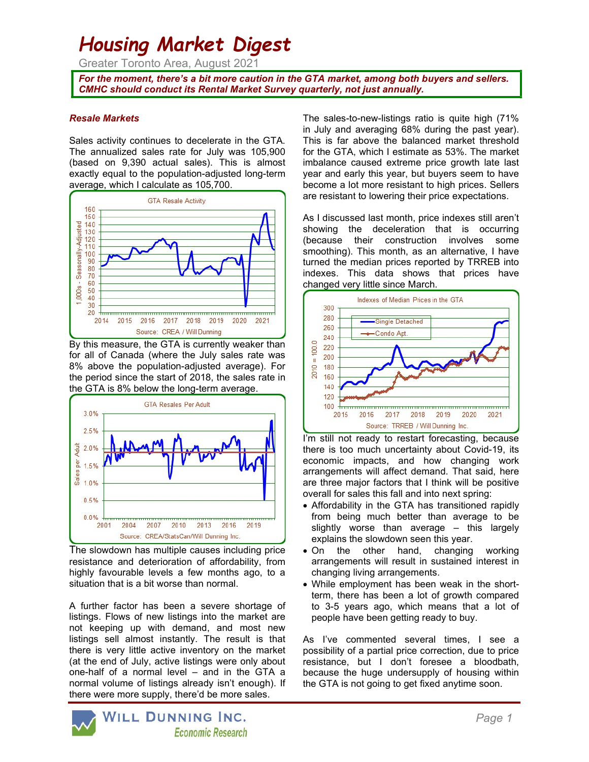# Housing Market Digest

Greater Toronto Area, August 2021

For the moment, there's a bit more caution in the GTA market, among both buyers and sellers. CMHC should conduct its Rental Market Survey quarterly, not just annually.

## Resale Markets

Sales activity continues to decelerate in the GTA. The annualized sales rate for July was 105,900 (based on 9,390 actual sales). This is almost exactly equal to the population-adjusted long-term average, which I calculate as 105,700.



By this measure, the GTA is currently weaker than for all of Canada (where the July sales rate was 8% above the population-adjusted average). For the period since the start of 2018, the sales rate in the GTA is 8% below the long-term average.



The slowdown has multiple causes including price resistance and deterioration of affordability, from highly favourable levels a few months ago, to a situation that is a bit worse than normal.

A further factor has been a severe shortage of listings. Flows of new listings into the market are not keeping up with demand, and most new listings sell almost instantly. The result is that there is very little active inventory on the market (at the end of July, active listings were only about one-half of a normal level – and in the GTA a normal volume of listings already isn't enough). If there were more supply, there'd be more sales.

The sales-to-new-listings ratio is quite high (71% in July and averaging 68% during the past year). This is far above the balanced market threshold for the GTA, which I estimate as 53%. The market imbalance caused extreme price growth late last year and early this year, but buyers seem to have become a lot more resistant to high prices. Sellers are resistant to lowering their price expectations.

As I discussed last month, price indexes still aren't showing the deceleration that is occurring (because their construction involves some smoothing). This month, as an alternative, I have turned the median prices reported by TRREB into indexes. This data shows that prices have changed very little since March.



I'm still not ready to restart forecasting, because there is too much uncertainty about Covid-19, its economic impacts, and how changing work arrangements will affect demand. That said, here are three major factors that I think will be positive overall for sales this fall and into next spring:

- Affordability in the GTA has transitioned rapidly from being much better than average to be slightly worse than average – this largely explains the slowdown seen this year.
- On the other hand, changing working arrangements will result in sustained interest in changing living arrangements.
- While employment has been weak in the shortterm, there has been a lot of growth compared to 3-5 years ago, which means that a lot of people have been getting ready to buy.

As I've commented several times, I see a possibility of a partial price correction, due to price resistance, but I don't foresee a bloodbath, because the huge undersupply of housing within the GTA is not going to get fixed anytime soon.